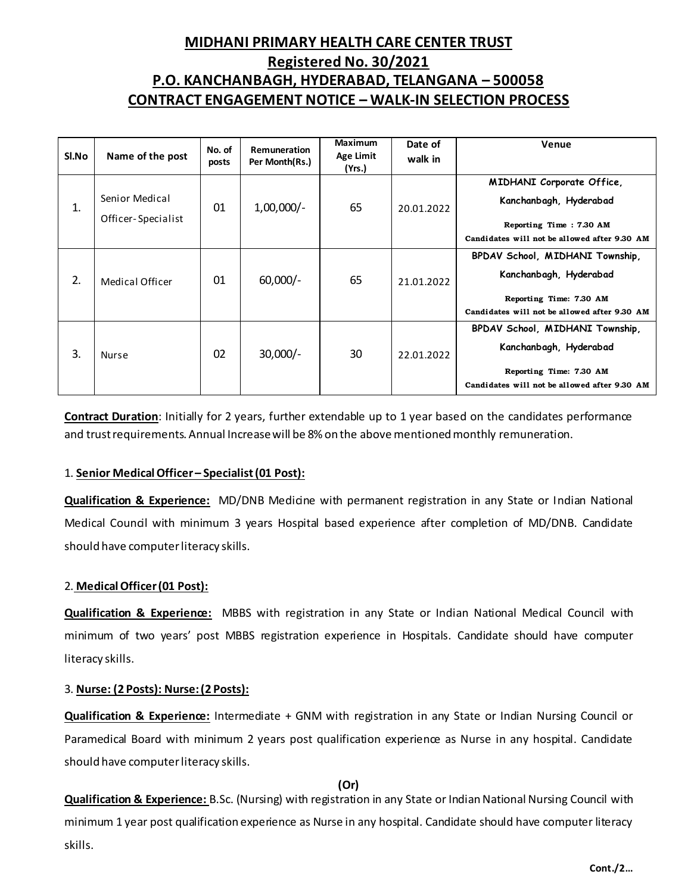## **MIDHANI PRIMARY HEALTH CARE CENTER TRUST Registered No. 30/2021 P.O. KANCHANBAGH, HYDERABAD, TELANGANA – 500058 CONTRACT ENGAGEMENT NOTICE – WALK-IN SELECTION PROCESS**

| SI.No | Name of the post                     | No. of<br>posts | Remuneration<br>Per Month(Rs.) | <b>Maximum</b><br>Age Limit<br>(Yrs.) | Date of<br>walk in | Venue                                                                                                                                |
|-------|--------------------------------------|-----------------|--------------------------------|---------------------------------------|--------------------|--------------------------------------------------------------------------------------------------------------------------------------|
| 1.    | Senior Medical<br>Officer-Specialist | 01              | $1,00,000/-$                   | 65                                    | 20.01.2022         | MIDHANI Corporate Office,<br>Kanchanbagh, Hyderabad<br>Reporting Time: 7.30 AM<br>Candidates will not be allowed after 9.30 AM       |
| 2.    | Medical Officer                      | 01              | $60,000/-$                     | 65                                    | 21.01.2022         | BPDAV School, MIDHANI Township,<br>Kanchanbagh, Hyderabad<br>Reporting Time: 7.30 AM<br>Candidates will not be allowed after 9.30 AM |
| 3.    | Nurse                                | 02              | $30,000/-$                     | 30                                    | 22.01.2022         | BPDAV School, MIDHANI Township,<br>Kanchanbagh, Hyderabad<br>Reporting Time: 7.30 AM<br>Candidates will not be allowed after 9.30 AM |

**Contract Duration**: Initially for 2 years, further extendable up to 1 year based on the candidates performance and trust requirements. Annual Increase will be 8% on the above mentioned monthly remuneration.

## 1. **Senior Medical Officer – Specialist (01 Post):**

**Qualification & Experience:** MD/DNB Medicine with permanent registration in any State or Indian National Medical Council with minimum 3 years Hospital based experience after completion of MD/DNB. Candidate should have computer literacy skills.

## 2. **Medical Officer (01 Post):**

**Qualification & Experience:** MBBS with registration in any State or Indian National Medical Council with minimum of two years' post MBBS registration experience in Hospitals. Candidate should have computer literacy skills.

## 3. **Nurse: (2 Posts): Nurse: (2 Posts):**

**Qualification & Experience:** Intermediate + GNM with registration in any State or Indian Nursing Council or Paramedical Board with minimum 2 years post qualification experience as Nurse in any hospital. Candidate should have computer literacy skills.

**(Or)**

**Qualification & Experience:** B.Sc. (Nursing) with registration in any State or Indian National Nursing Council with minimum 1 year post qualification experience as Nurse in any hospital. Candidate should have computer literacy skills.